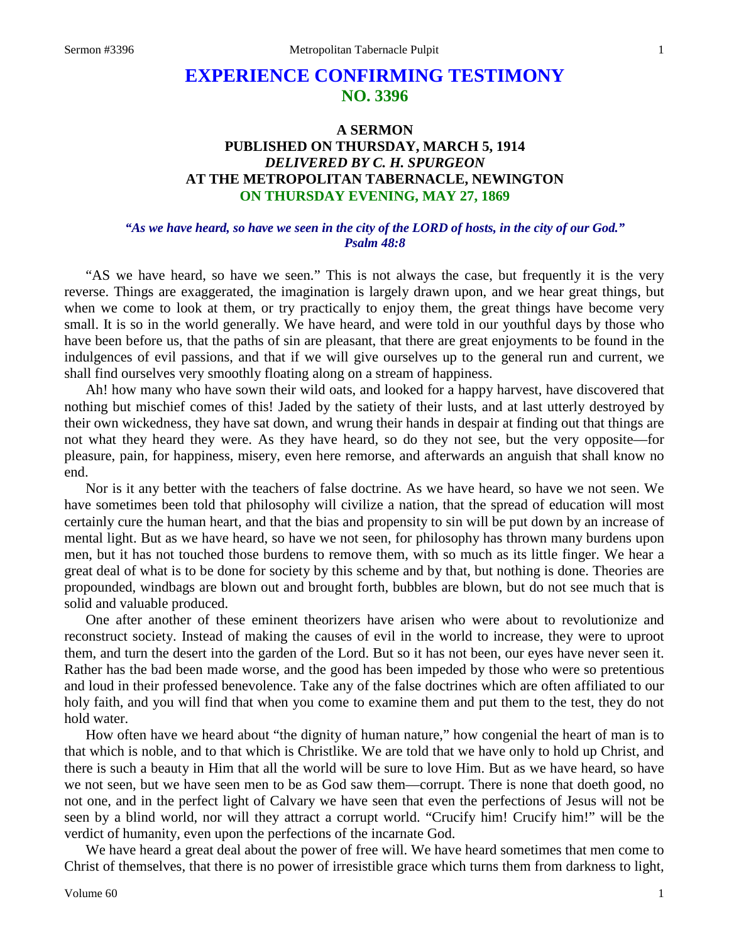# **EXPERIENCE CONFIRMING TESTIMONY NO. 3396**

## **A SERMON PUBLISHED ON THURSDAY, MARCH 5, 1914** *DELIVERED BY C. H. SPURGEON* **AT THE METROPOLITAN TABERNACLE, NEWINGTON ON THURSDAY EVENING, MAY 27, 1869**

### *"As we have heard, so have we seen in the city of the LORD of hosts, in the city of our God." Psalm 48:8*

"AS we have heard, so have we seen." This is not always the case, but frequently it is the very reverse. Things are exaggerated, the imagination is largely drawn upon, and we hear great things, but when we come to look at them, or try practically to enjoy them, the great things have become very small. It is so in the world generally. We have heard, and were told in our youthful days by those who have been before us, that the paths of sin are pleasant, that there are great enjoyments to be found in the indulgences of evil passions, and that if we will give ourselves up to the general run and current, we shall find ourselves very smoothly floating along on a stream of happiness.

Ah! how many who have sown their wild oats, and looked for a happy harvest, have discovered that nothing but mischief comes of this! Jaded by the satiety of their lusts, and at last utterly destroyed by their own wickedness, they have sat down, and wrung their hands in despair at finding out that things are not what they heard they were. As they have heard, so do they not see, but the very opposite—for pleasure, pain, for happiness, misery, even here remorse, and afterwards an anguish that shall know no end.

Nor is it any better with the teachers of false doctrine. As we have heard, so have we not seen. We have sometimes been told that philosophy will civilize a nation, that the spread of education will most certainly cure the human heart, and that the bias and propensity to sin will be put down by an increase of mental light. But as we have heard, so have we not seen, for philosophy has thrown many burdens upon men, but it has not touched those burdens to remove them, with so much as its little finger. We hear a great deal of what is to be done for society by this scheme and by that, but nothing is done. Theories are propounded, windbags are blown out and brought forth, bubbles are blown, but do not see much that is solid and valuable produced.

One after another of these eminent theorizers have arisen who were about to revolutionize and reconstruct society. Instead of making the causes of evil in the world to increase, they were to uproot them, and turn the desert into the garden of the Lord. But so it has not been, our eyes have never seen it. Rather has the bad been made worse, and the good has been impeded by those who were so pretentious and loud in their professed benevolence. Take any of the false doctrines which are often affiliated to our holy faith, and you will find that when you come to examine them and put them to the test, they do not hold water.

How often have we heard about "the dignity of human nature," how congenial the heart of man is to that which is noble, and to that which is Christlike. We are told that we have only to hold up Christ, and there is such a beauty in Him that all the world will be sure to love Him. But as we have heard, so have we not seen, but we have seen men to be as God saw them—corrupt. There is none that doeth good, no not one, and in the perfect light of Calvary we have seen that even the perfections of Jesus will not be seen by a blind world, nor will they attract a corrupt world. "Crucify him! Crucify him!" will be the verdict of humanity, even upon the perfections of the incarnate God.

We have heard a great deal about the power of free will. We have heard sometimes that men come to Christ of themselves, that there is no power of irresistible grace which turns them from darkness to light,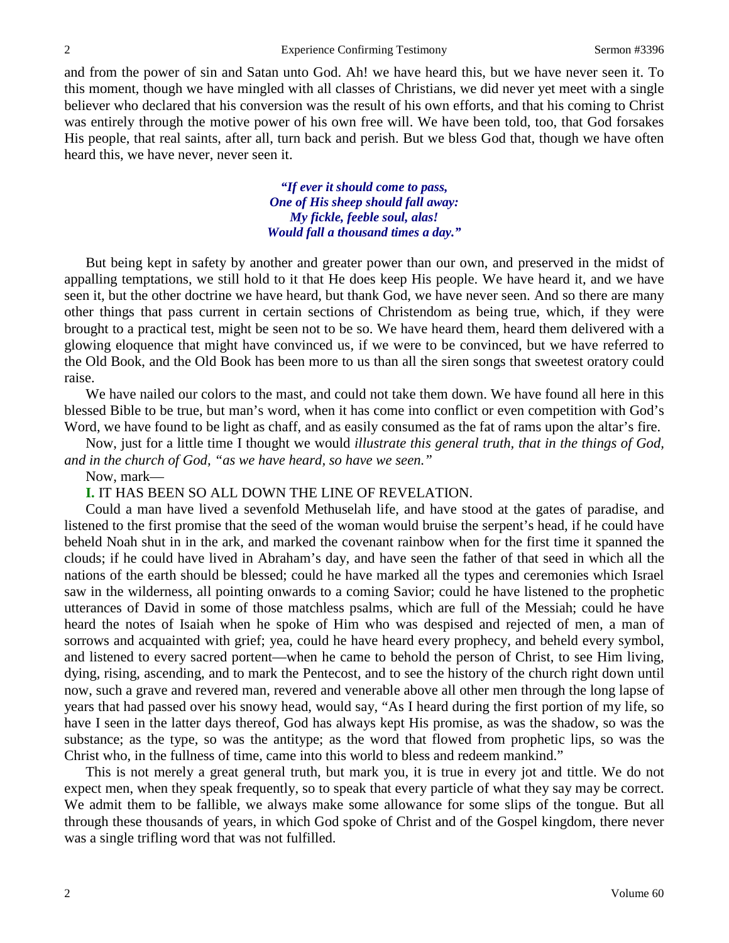and from the power of sin and Satan unto God. Ah! we have heard this, but we have never seen it. To this moment, though we have mingled with all classes of Christians, we did never yet meet with a single believer who declared that his conversion was the result of his own efforts, and that his coming to Christ was entirely through the motive power of his own free will. We have been told, too, that God forsakes His people, that real saints, after all, turn back and perish. But we bless God that, though we have often heard this, we have never, never seen it.

> *"If ever it should come to pass, One of His sheep should fall away: My fickle, feeble soul, alas! Would fall a thousand times a day."*

But being kept in safety by another and greater power than our own, and preserved in the midst of appalling temptations, we still hold to it that He does keep His people. We have heard it, and we have seen it, but the other doctrine we have heard, but thank God, we have never seen. And so there are many other things that pass current in certain sections of Christendom as being true, which, if they were brought to a practical test, might be seen not to be so. We have heard them, heard them delivered with a glowing eloquence that might have convinced us, if we were to be convinced, but we have referred to the Old Book, and the Old Book has been more to us than all the siren songs that sweetest oratory could raise.

We have nailed our colors to the mast, and could not take them down. We have found all here in this blessed Bible to be true, but man's word, when it has come into conflict or even competition with God's Word, we have found to be light as chaff, and as easily consumed as the fat of rams upon the altar's fire.

Now, just for a little time I thought we would *illustrate this general truth, that in the things of God, and in the church of God, "as we have heard, so have we seen."* 

Now, mark—

**I.** IT HAS BEEN SO ALL DOWN THE LINE OF REVELATION.

Could a man have lived a sevenfold Methuselah life, and have stood at the gates of paradise, and listened to the first promise that the seed of the woman would bruise the serpent's head, if he could have beheld Noah shut in in the ark, and marked the covenant rainbow when for the first time it spanned the clouds; if he could have lived in Abraham's day, and have seen the father of that seed in which all the nations of the earth should be blessed; could he have marked all the types and ceremonies which Israel saw in the wilderness, all pointing onwards to a coming Savior; could he have listened to the prophetic utterances of David in some of those matchless psalms, which are full of the Messiah; could he have heard the notes of Isaiah when he spoke of Him who was despised and rejected of men, a man of sorrows and acquainted with grief; yea, could he have heard every prophecy, and beheld every symbol, and listened to every sacred portent—when he came to behold the person of Christ, to see Him living, dying, rising, ascending, and to mark the Pentecost, and to see the history of the church right down until now, such a grave and revered man, revered and venerable above all other men through the long lapse of years that had passed over his snowy head, would say, "As I heard during the first portion of my life, so have I seen in the latter days thereof, God has always kept His promise, as was the shadow, so was the substance; as the type, so was the antitype; as the word that flowed from prophetic lips, so was the Christ who, in the fullness of time, came into this world to bless and redeem mankind."

This is not merely a great general truth, but mark you, it is true in every jot and tittle. We do not expect men, when they speak frequently, so to speak that every particle of what they say may be correct. We admit them to be fallible, we always make some allowance for some slips of the tongue. But all through these thousands of years, in which God spoke of Christ and of the Gospel kingdom, there never was a single trifling word that was not fulfilled.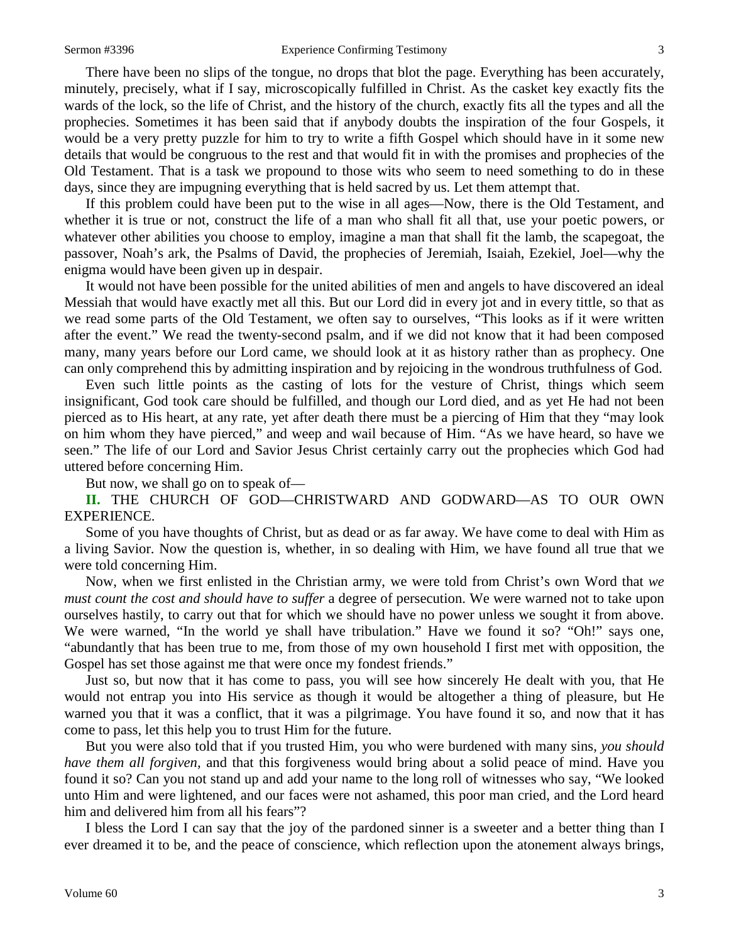There have been no slips of the tongue, no drops that blot the page. Everything has been accurately, minutely, precisely, what if I say, microscopically fulfilled in Christ. As the casket key exactly fits the wards of the lock, so the life of Christ, and the history of the church, exactly fits all the types and all the prophecies. Sometimes it has been said that if anybody doubts the inspiration of the four Gospels, it would be a very pretty puzzle for him to try to write a fifth Gospel which should have in it some new details that would be congruous to the rest and that would fit in with the promises and prophecies of the Old Testament. That is a task we propound to those wits who seem to need something to do in these days, since they are impugning everything that is held sacred by us. Let them attempt that.

If this problem could have been put to the wise in all ages—Now, there is the Old Testament, and whether it is true or not, construct the life of a man who shall fit all that, use your poetic powers, or whatever other abilities you choose to employ, imagine a man that shall fit the lamb, the scapegoat, the passover, Noah's ark, the Psalms of David, the prophecies of Jeremiah, Isaiah, Ezekiel, Joel—why the enigma would have been given up in despair.

It would not have been possible for the united abilities of men and angels to have discovered an ideal Messiah that would have exactly met all this. But our Lord did in every jot and in every tittle, so that as we read some parts of the Old Testament, we often say to ourselves, "This looks as if it were written after the event." We read the twenty-second psalm, and if we did not know that it had been composed many, many years before our Lord came, we should look at it as history rather than as prophecy. One can only comprehend this by admitting inspiration and by rejoicing in the wondrous truthfulness of God.

Even such little points as the casting of lots for the vesture of Christ, things which seem insignificant, God took care should be fulfilled, and though our Lord died, and as yet He had not been pierced as to His heart, at any rate, yet after death there must be a piercing of Him that they "may look on him whom they have pierced," and weep and wail because of Him. "As we have heard, so have we seen." The life of our Lord and Savior Jesus Christ certainly carry out the prophecies which God had uttered before concerning Him.

But now, we shall go on to speak of—

**II.** THE CHURCH OF GOD—CHRISTWARD AND GODWARD—AS TO OUR OWN EXPERIENCE.

Some of you have thoughts of Christ, but as dead or as far away. We have come to deal with Him as a living Savior. Now the question is, whether, in so dealing with Him, we have found all true that we were told concerning Him.

Now, when we first enlisted in the Christian army, we were told from Christ's own Word that *we must count the cost and should have to suffer* a degree of persecution. We were warned not to take upon ourselves hastily, to carry out that for which we should have no power unless we sought it from above. We were warned, "In the world ye shall have tribulation." Have we found it so? "Oh!" says one, "abundantly that has been true to me, from those of my own household I first met with opposition, the Gospel has set those against me that were once my fondest friends."

Just so, but now that it has come to pass, you will see how sincerely He dealt with you, that He would not entrap you into His service as though it would be altogether a thing of pleasure, but He warned you that it was a conflict, that it was a pilgrimage. You have found it so, and now that it has come to pass, let this help you to trust Him for the future.

But you were also told that if you trusted Him, you who were burdened with many sins, *you should have them all forgiven,* and that this forgiveness would bring about a solid peace of mind. Have you found it so? Can you not stand up and add your name to the long roll of witnesses who say, "We looked unto Him and were lightened, and our faces were not ashamed, this poor man cried, and the Lord heard him and delivered him from all his fears"?

I bless the Lord I can say that the joy of the pardoned sinner is a sweeter and a better thing than I ever dreamed it to be, and the peace of conscience, which reflection upon the atonement always brings,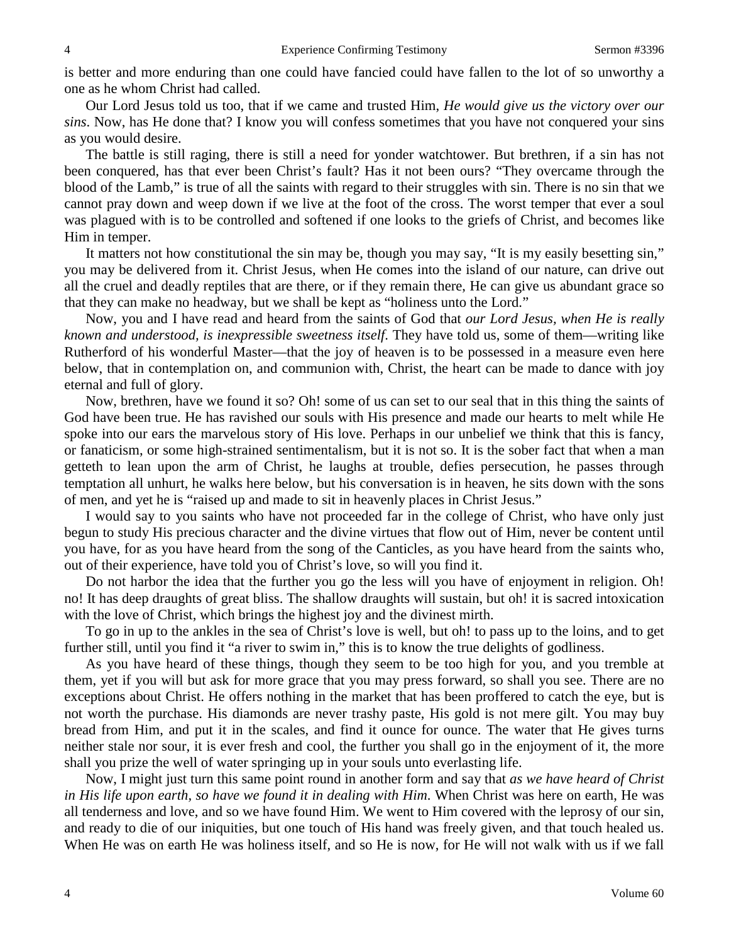is better and more enduring than one could have fancied could have fallen to the lot of so unworthy a one as he whom Christ had called.

Our Lord Jesus told us too, that if we came and trusted Him, *He would give us the victory over our sins*. Now, has He done that? I know you will confess sometimes that you have not conquered your sins as you would desire.

The battle is still raging, there is still a need for yonder watchtower. But brethren, if a sin has not been conquered, has that ever been Christ's fault? Has it not been ours? "They overcame through the blood of the Lamb," is true of all the saints with regard to their struggles with sin. There is no sin that we cannot pray down and weep down if we live at the foot of the cross. The worst temper that ever a soul was plagued with is to be controlled and softened if one looks to the griefs of Christ, and becomes like Him in temper.

It matters not how constitutional the sin may be, though you may say, "It is my easily besetting sin," you may be delivered from it. Christ Jesus, when He comes into the island of our nature, can drive out all the cruel and deadly reptiles that are there, or if they remain there, He can give us abundant grace so that they can make no headway, but we shall be kept as "holiness unto the Lord."

Now, you and I have read and heard from the saints of God that *our Lord Jesus, when He is really known and understood, is inexpressible sweetness itself*. They have told us, some of them—writing like Rutherford of his wonderful Master—that the joy of heaven is to be possessed in a measure even here below, that in contemplation on, and communion with, Christ, the heart can be made to dance with joy eternal and full of glory.

Now, brethren, have we found it so? Oh! some of us can set to our seal that in this thing the saints of God have been true. He has ravished our souls with His presence and made our hearts to melt while He spoke into our ears the marvelous story of His love. Perhaps in our unbelief we think that this is fancy, or fanaticism, or some high-strained sentimentalism, but it is not so. It is the sober fact that when a man getteth to lean upon the arm of Christ, he laughs at trouble, defies persecution, he passes through temptation all unhurt, he walks here below, but his conversation is in heaven, he sits down with the sons of men, and yet he is "raised up and made to sit in heavenly places in Christ Jesus."

I would say to you saints who have not proceeded far in the college of Christ, who have only just begun to study His precious character and the divine virtues that flow out of Him, never be content until you have, for as you have heard from the song of the Canticles, as you have heard from the saints who, out of their experience, have told you of Christ's love, so will you find it.

Do not harbor the idea that the further you go the less will you have of enjoyment in religion. Oh! no! It has deep draughts of great bliss. The shallow draughts will sustain, but oh! it is sacred intoxication with the love of Christ, which brings the highest joy and the divinest mirth.

To go in up to the ankles in the sea of Christ's love is well, but oh! to pass up to the loins, and to get further still, until you find it "a river to swim in," this is to know the true delights of godliness.

As you have heard of these things, though they seem to be too high for you, and you tremble at them, yet if you will but ask for more grace that you may press forward, so shall you see. There are no exceptions about Christ. He offers nothing in the market that has been proffered to catch the eye, but is not worth the purchase. His diamonds are never trashy paste, His gold is not mere gilt. You may buy bread from Him, and put it in the scales, and find it ounce for ounce. The water that He gives turns neither stale nor sour, it is ever fresh and cool, the further you shall go in the enjoyment of it, the more shall you prize the well of water springing up in your souls unto everlasting life.

Now, I might just turn this same point round in another form and say that *as we have heard of Christ in His life upon earth, so have we found it in dealing with Him*. When Christ was here on earth, He was all tenderness and love, and so we have found Him. We went to Him covered with the leprosy of our sin, and ready to die of our iniquities, but one touch of His hand was freely given, and that touch healed us. When He was on earth He was holiness itself, and so He is now, for He will not walk with us if we fall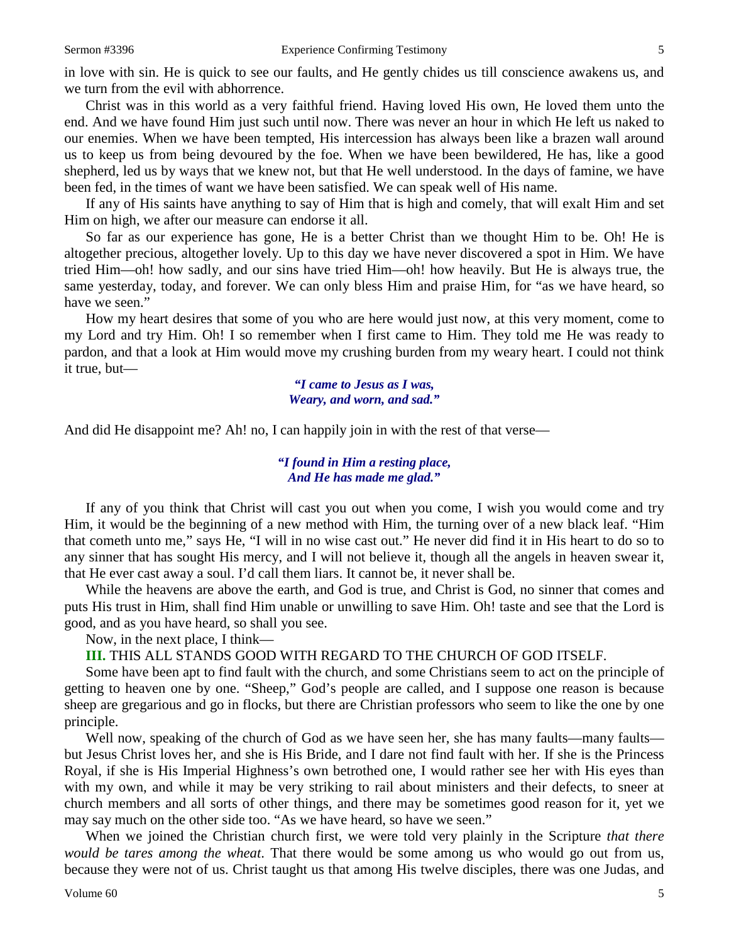in love with sin. He is quick to see our faults, and He gently chides us till conscience awakens us, and we turn from the evil with abhorrence.

Christ was in this world as a very faithful friend. Having loved His own, He loved them unto the end. And we have found Him just such until now. There was never an hour in which He left us naked to our enemies. When we have been tempted, His intercession has always been like a brazen wall around us to keep us from being devoured by the foe. When we have been bewildered, He has, like a good shepherd, led us by ways that we knew not, but that He well understood. In the days of famine, we have been fed, in the times of want we have been satisfied. We can speak well of His name.

If any of His saints have anything to say of Him that is high and comely, that will exalt Him and set Him on high, we after our measure can endorse it all.

So far as our experience has gone, He is a better Christ than we thought Him to be. Oh! He is altogether precious, altogether lovely. Up to this day we have never discovered a spot in Him. We have tried Him—oh! how sadly, and our sins have tried Him—oh! how heavily. But He is always true, the same yesterday, today, and forever. We can only bless Him and praise Him, for "as we have heard, so have we seen."

How my heart desires that some of you who are here would just now, at this very moment, come to my Lord and try Him. Oh! I so remember when I first came to Him. They told me He was ready to pardon, and that a look at Him would move my crushing burden from my weary heart. I could not think it true, but—

> *"I came to Jesus as I was, Weary, and worn, and sad."*

And did He disappoint me? Ah! no, I can happily join in with the rest of that verse—

#### *"I found in Him a resting place, And He has made me glad."*

If any of you think that Christ will cast you out when you come, I wish you would come and try Him, it would be the beginning of a new method with Him, the turning over of a new black leaf. "Him that cometh unto me," says He, "I will in no wise cast out." He never did find it in His heart to do so to any sinner that has sought His mercy, and I will not believe it, though all the angels in heaven swear it, that He ever cast away a soul. I'd call them liars. It cannot be, it never shall be.

While the heavens are above the earth, and God is true, and Christ is God, no sinner that comes and puts His trust in Him, shall find Him unable or unwilling to save Him. Oh! taste and see that the Lord is good, and as you have heard, so shall you see.

Now, in the next place, I think—

**III.** THIS ALL STANDS GOOD WITH REGARD TO THE CHURCH OF GOD ITSELF.

Some have been apt to find fault with the church, and some Christians seem to act on the principle of getting to heaven one by one. "Sheep," God's people are called, and I suppose one reason is because sheep are gregarious and go in flocks, but there are Christian professors who seem to like the one by one principle.

Well now, speaking of the church of God as we have seen her, she has many faults—many faults but Jesus Christ loves her, and she is His Bride, and I dare not find fault with her. If she is the Princess Royal, if she is His Imperial Highness's own betrothed one, I would rather see her with His eyes than with my own, and while it may be very striking to rail about ministers and their defects, to sneer at church members and all sorts of other things, and there may be sometimes good reason for it, yet we may say much on the other side too. "As we have heard, so have we seen."

When we joined the Christian church first, we were told very plainly in the Scripture *that there would be tares among the wheat*. That there would be some among us who would go out from us, because they were not of us. Christ taught us that among His twelve disciples, there was one Judas, and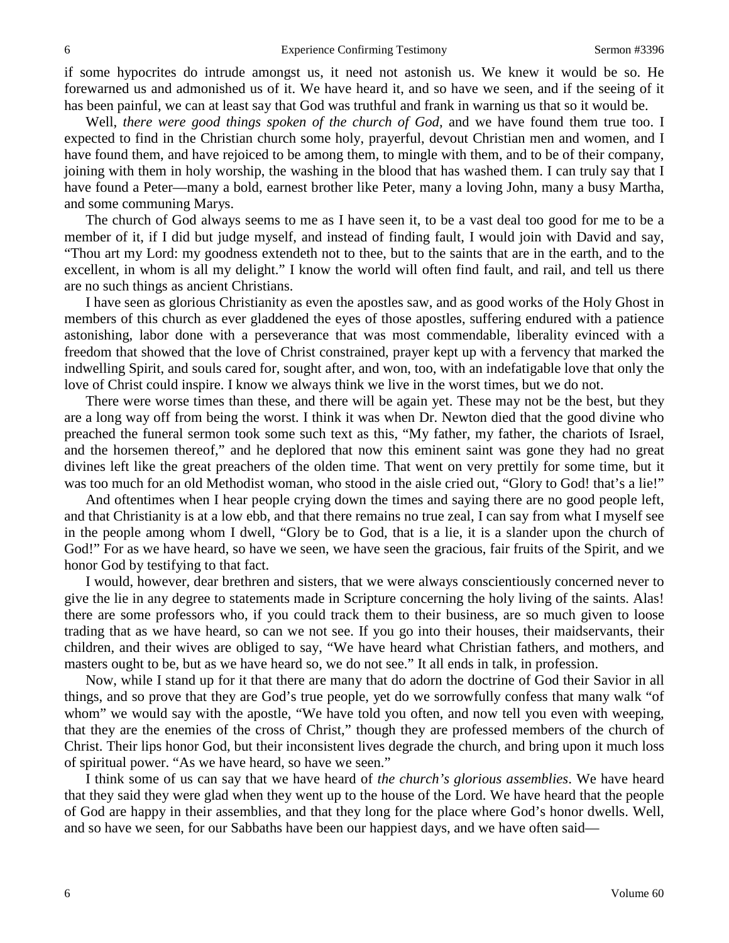if some hypocrites do intrude amongst us, it need not astonish us. We knew it would be so. He forewarned us and admonished us of it. We have heard it, and so have we seen, and if the seeing of it has been painful, we can at least say that God was truthful and frank in warning us that so it would be.

Well, *there were good things spoken of the church of God,* and we have found them true too. I expected to find in the Christian church some holy, prayerful, devout Christian men and women, and I have found them, and have rejoiced to be among them, to mingle with them, and to be of their company, joining with them in holy worship, the washing in the blood that has washed them. I can truly say that I have found a Peter—many a bold, earnest brother like Peter, many a loving John, many a busy Martha, and some communing Marys.

The church of God always seems to me as I have seen it, to be a vast deal too good for me to be a member of it, if I did but judge myself, and instead of finding fault, I would join with David and say, "Thou art my Lord: my goodness extendeth not to thee, but to the saints that are in the earth, and to the excellent, in whom is all my delight." I know the world will often find fault, and rail, and tell us there are no such things as ancient Christians.

I have seen as glorious Christianity as even the apostles saw, and as good works of the Holy Ghost in members of this church as ever gladdened the eyes of those apostles, suffering endured with a patience astonishing, labor done with a perseverance that was most commendable, liberality evinced with a freedom that showed that the love of Christ constrained, prayer kept up with a fervency that marked the indwelling Spirit, and souls cared for, sought after, and won, too, with an indefatigable love that only the love of Christ could inspire. I know we always think we live in the worst times, but we do not.

There were worse times than these, and there will be again yet. These may not be the best, but they are a long way off from being the worst. I think it was when Dr. Newton died that the good divine who preached the funeral sermon took some such text as this, "My father, my father, the chariots of Israel, and the horsemen thereof," and he deplored that now this eminent saint was gone they had no great divines left like the great preachers of the olden time. That went on very prettily for some time, but it was too much for an old Methodist woman, who stood in the aisle cried out, "Glory to God! that's a lie!"

And oftentimes when I hear people crying down the times and saying there are no good people left, and that Christianity is at a low ebb, and that there remains no true zeal, I can say from what I myself see in the people among whom I dwell, "Glory be to God, that is a lie, it is a slander upon the church of God!" For as we have heard, so have we seen, we have seen the gracious, fair fruits of the Spirit, and we honor God by testifying to that fact.

I would, however, dear brethren and sisters, that we were always conscientiously concerned never to give the lie in any degree to statements made in Scripture concerning the holy living of the saints. Alas! there are some professors who, if you could track them to their business, are so much given to loose trading that as we have heard, so can we not see. If you go into their houses, their maidservants, their children, and their wives are obliged to say, "We have heard what Christian fathers, and mothers, and masters ought to be, but as we have heard so, we do not see." It all ends in talk, in profession.

Now, while I stand up for it that there are many that do adorn the doctrine of God their Savior in all things, and so prove that they are God's true people, yet do we sorrowfully confess that many walk "of whom" we would say with the apostle, "We have told you often, and now tell you even with weeping, that they are the enemies of the cross of Christ," though they are professed members of the church of Christ. Their lips honor God, but their inconsistent lives degrade the church, and bring upon it much loss of spiritual power. "As we have heard, so have we seen."

I think some of us can say that we have heard of *the church's glorious assemblies*. We have heard that they said they were glad when they went up to the house of the Lord. We have heard that the people of God are happy in their assemblies, and that they long for the place where God's honor dwells. Well, and so have we seen, for our Sabbaths have been our happiest days, and we have often said—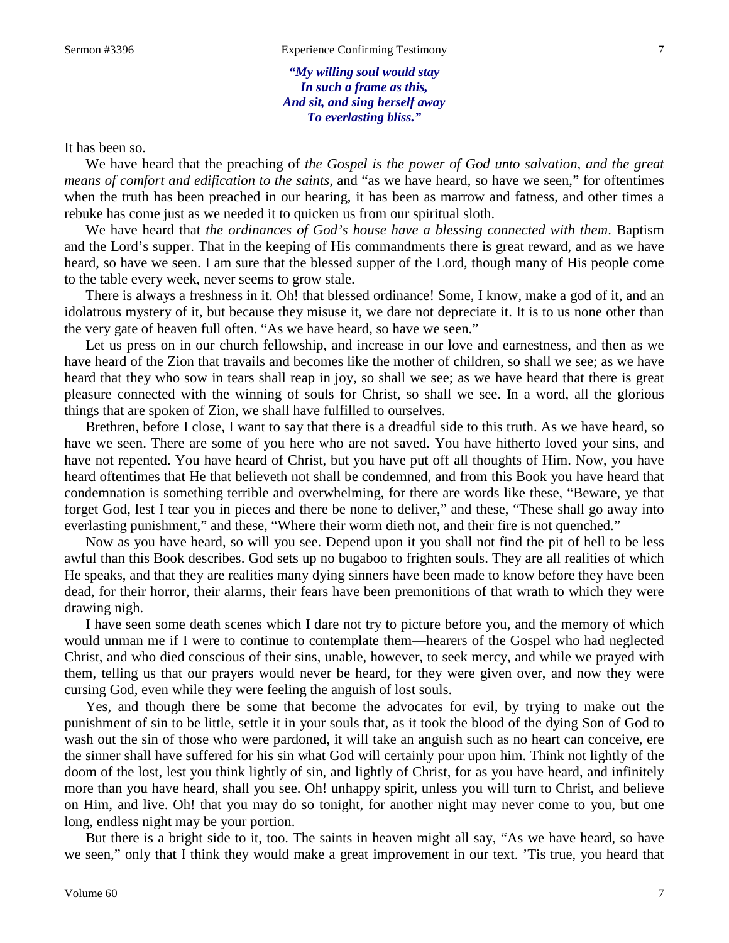*"My willing soul would stay In such a frame as this, And sit, and sing herself away To everlasting bliss."*

It has been so.

We have heard that the preaching of *the Gospel is the power of God unto salvation, and the great means of comfort and edification to the saints,* and "as we have heard, so have we seen," for oftentimes when the truth has been preached in our hearing, it has been as marrow and fatness, and other times a rebuke has come just as we needed it to quicken us from our spiritual sloth.

We have heard that *the ordinances of God's house have a blessing connected with them*. Baptism and the Lord's supper. That in the keeping of His commandments there is great reward, and as we have heard, so have we seen. I am sure that the blessed supper of the Lord, though many of His people come to the table every week, never seems to grow stale.

There is always a freshness in it. Oh! that blessed ordinance! Some, I know, make a god of it, and an idolatrous mystery of it, but because they misuse it, we dare not depreciate it. It is to us none other than the very gate of heaven full often. "As we have heard, so have we seen."

Let us press on in our church fellowship, and increase in our love and earnestness, and then as we have heard of the Zion that travails and becomes like the mother of children, so shall we see; as we have heard that they who sow in tears shall reap in joy, so shall we see; as we have heard that there is great pleasure connected with the winning of souls for Christ, so shall we see. In a word, all the glorious things that are spoken of Zion, we shall have fulfilled to ourselves.

Brethren, before I close, I want to say that there is a dreadful side to this truth. As we have heard, so have we seen. There are some of you here who are not saved. You have hitherto loved your sins, and have not repented. You have heard of Christ, but you have put off all thoughts of Him. Now, you have heard oftentimes that He that believeth not shall be condemned, and from this Book you have heard that condemnation is something terrible and overwhelming, for there are words like these, "Beware, ye that forget God, lest I tear you in pieces and there be none to deliver," and these, "These shall go away into everlasting punishment," and these, "Where their worm dieth not, and their fire is not quenched."

Now as you have heard, so will you see. Depend upon it you shall not find the pit of hell to be less awful than this Book describes. God sets up no bugaboo to frighten souls. They are all realities of which He speaks, and that they are realities many dying sinners have been made to know before they have been dead, for their horror, their alarms, their fears have been premonitions of that wrath to which they were drawing nigh.

I have seen some death scenes which I dare not try to picture before you, and the memory of which would unman me if I were to continue to contemplate them—hearers of the Gospel who had neglected Christ, and who died conscious of their sins, unable, however, to seek mercy, and while we prayed with them, telling us that our prayers would never be heard, for they were given over, and now they were cursing God, even while they were feeling the anguish of lost souls.

Yes, and though there be some that become the advocates for evil, by trying to make out the punishment of sin to be little, settle it in your souls that, as it took the blood of the dying Son of God to wash out the sin of those who were pardoned, it will take an anguish such as no heart can conceive, ere the sinner shall have suffered for his sin what God will certainly pour upon him. Think not lightly of the doom of the lost, lest you think lightly of sin, and lightly of Christ, for as you have heard, and infinitely more than you have heard, shall you see. Oh! unhappy spirit, unless you will turn to Christ, and believe on Him, and live. Oh! that you may do so tonight, for another night may never come to you, but one long, endless night may be your portion.

But there is a bright side to it, too. The saints in heaven might all say, "As we have heard, so have we seen," only that I think they would make a great improvement in our text. 'Tis true, you heard that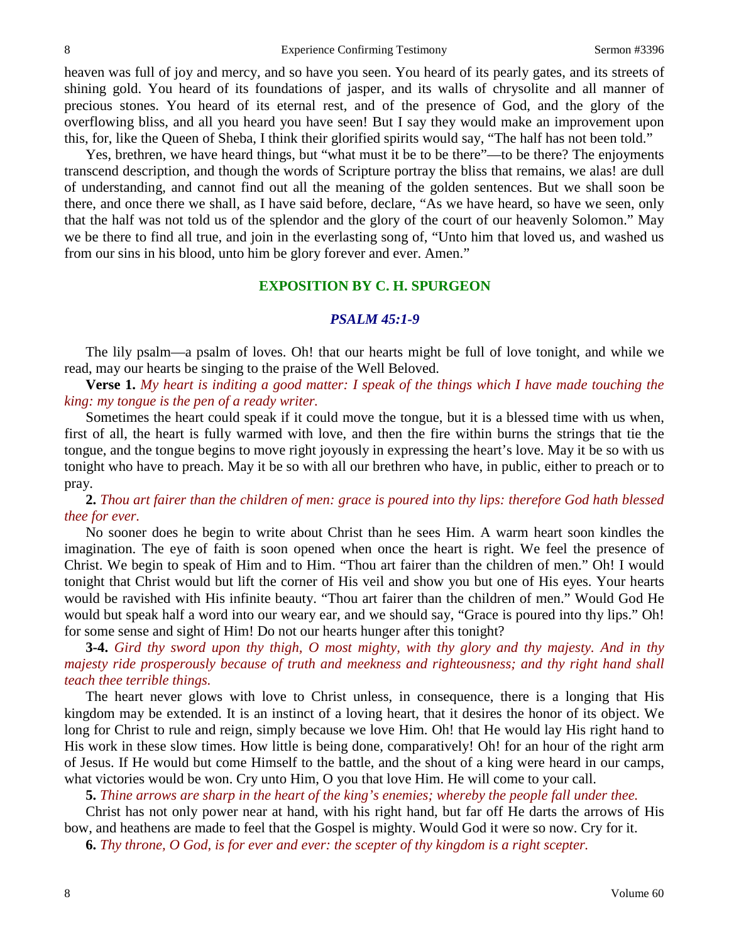heaven was full of joy and mercy, and so have you seen. You heard of its pearly gates, and its streets of shining gold. You heard of its foundations of jasper, and its walls of chrysolite and all manner of precious stones. You heard of its eternal rest, and of the presence of God, and the glory of the overflowing bliss, and all you heard you have seen! But I say they would make an improvement upon this, for, like the Queen of Sheba, I think their glorified spirits would say, "The half has not been told."

Yes, brethren, we have heard things, but "what must it be to be there"—to be there? The enjoyments transcend description, and though the words of Scripture portray the bliss that remains, we alas! are dull of understanding, and cannot find out all the meaning of the golden sentences. But we shall soon be there, and once there we shall, as I have said before, declare, "As we have heard, so have we seen, only that the half was not told us of the splendor and the glory of the court of our heavenly Solomon." May we be there to find all true, and join in the everlasting song of, "Unto him that loved us, and washed us from our sins in his blood, unto him be glory forever and ever. Amen."

#### **EXPOSITION BY C. H. SPURGEON**

#### *PSALM 45:1-9*

The lily psalm—a psalm of loves. Oh! that our hearts might be full of love tonight, and while we read, may our hearts be singing to the praise of the Well Beloved.

**Verse 1.** *My heart is inditing a good matter: I speak of the things which I have made touching the king: my tongue is the pen of a ready writer.*

Sometimes the heart could speak if it could move the tongue, but it is a blessed time with us when, first of all, the heart is fully warmed with love, and then the fire within burns the strings that tie the tongue, and the tongue begins to move right joyously in expressing the heart's love. May it be so with us tonight who have to preach. May it be so with all our brethren who have, in public, either to preach or to pray.

**2.** *Thou art fairer than the children of men: grace is poured into thy lips: therefore God hath blessed thee for ever.*

No sooner does he begin to write about Christ than he sees Him. A warm heart soon kindles the imagination. The eye of faith is soon opened when once the heart is right. We feel the presence of Christ. We begin to speak of Him and to Him. "Thou art fairer than the children of men." Oh! I would tonight that Christ would but lift the corner of His veil and show you but one of His eyes. Your hearts would be ravished with His infinite beauty. "Thou art fairer than the children of men." Would God He would but speak half a word into our weary ear, and we should say, "Grace is poured into thy lips." Oh! for some sense and sight of Him! Do not our hearts hunger after this tonight?

**3-4.** *Gird thy sword upon thy thigh, O most mighty, with thy glory and thy majesty. And in thy majesty ride prosperously because of truth and meekness and righteousness; and thy right hand shall teach thee terrible things.* 

The heart never glows with love to Christ unless, in consequence, there is a longing that His kingdom may be extended. It is an instinct of a loving heart, that it desires the honor of its object. We long for Christ to rule and reign, simply because we love Him. Oh! that He would lay His right hand to His work in these slow times. How little is being done, comparatively! Oh! for an hour of the right arm of Jesus. If He would but come Himself to the battle, and the shout of a king were heard in our camps, what victories would be won. Cry unto Him, O you that love Him. He will come to your call.

**5.** *Thine arrows are sharp in the heart of the king's enemies; whereby the people fall under thee.*

Christ has not only power near at hand, with his right hand, but far off He darts the arrows of His bow, and heathens are made to feel that the Gospel is mighty. Would God it were so now. Cry for it.

**6.** *Thy throne, O God, is for ever and ever: the scepter of thy kingdom is a right scepter.*